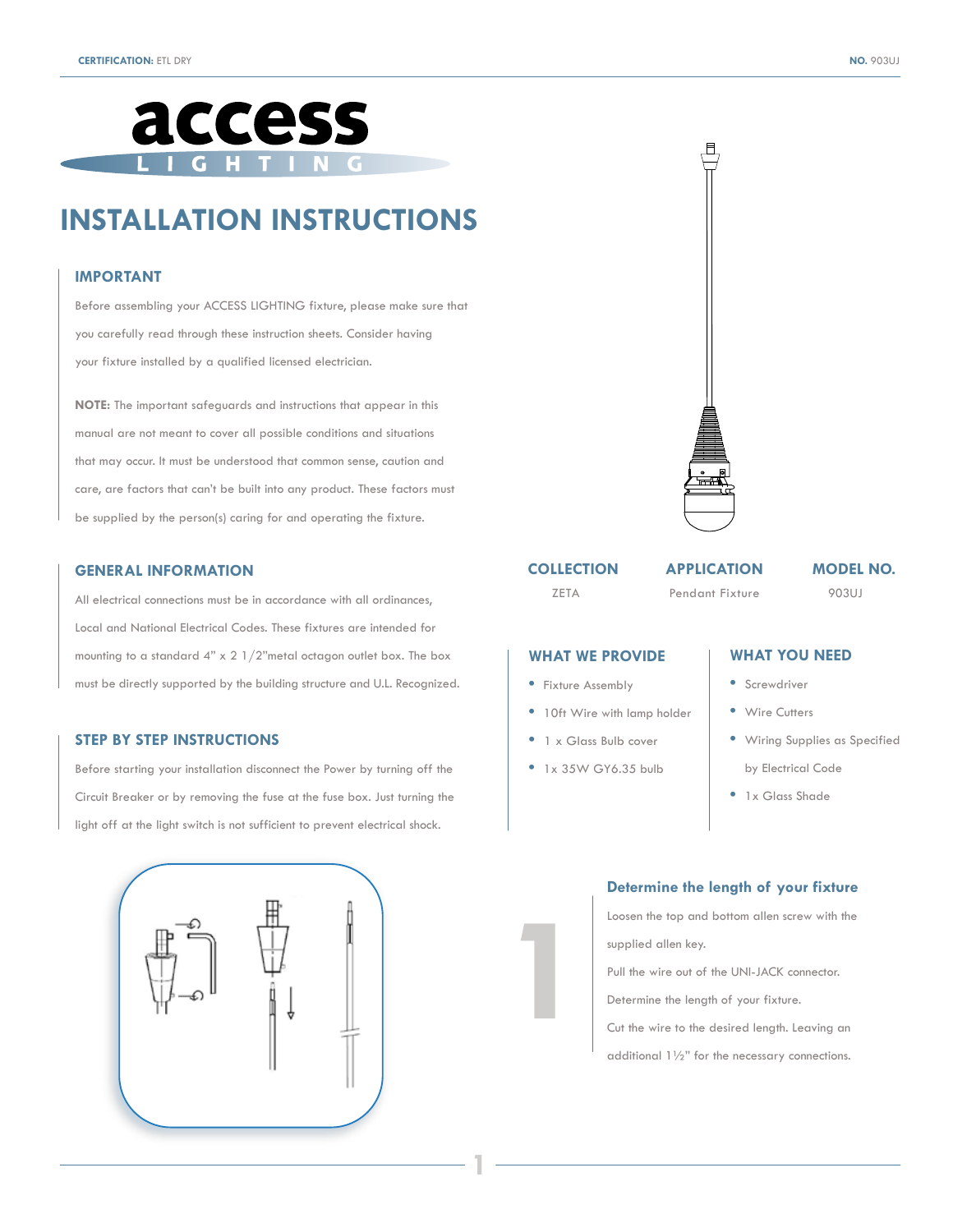

# **INSTALLATION INSTRUCTIONS**

#### **IMPORTANT**

Before assembling your ACCESS LIGHTING fixture, please make sure that you carefully read through these instruction sheets. Consider having your fixture installed by a qualified licensed electrician.

**NOTE:** The important safeguards and instructions that appear in this manual are not meant to cover all possible conditions and situations that may occur. It must be understood that common sense, caution and care, are factors that can't be built into any product. These factors must be supplied by the person(s) caring for and operating the fixture.

#### **GENERAL INFORMATION**

All electrical connections must be in accordance with all ordinances, Local and National Electrical Codes. These fixtures are intended for mounting to a standard  $4"$  x  $2$   $1/2"$ metal octagon outlet box. The box must be directly supported by the building structure and U.L. Recognized.

## **STEP BY STEP INSTRUCTIONS**

Before starting your installation disconnect the Power by turning off the Circuit Breaker or by removing the fuse at the fuse box. Just turning the light off at the light switch is not sufficient to prevent electrical shock.





# **COLLECTION**

ZETA Pendant Fixture

## **APPLICATION MODEL NO.**

903UJ

## **WHAT WE PROVIDE**

- Fixture Assembly
- 10ft Wire with lamp holder
- 1 x Glass Bulb cover
- 1x 35W GY6.35 bulb

**1**

**1**

# **WHAT YOU NEED**

- Screwdriver
- Wire Cutters
- Wiring Supplies as Specified
- by Electrical Code
- 1x Glass Shade

## **Determine the length of your fixture**

Loosen the top and bottom allen screw with the supplied allen key.

Pull the wire out of the UNI-JACK connector.

Determine the length of your fixture.

Cut the wire to the desired length. Leaving an

additional 1½" for the necessary connections.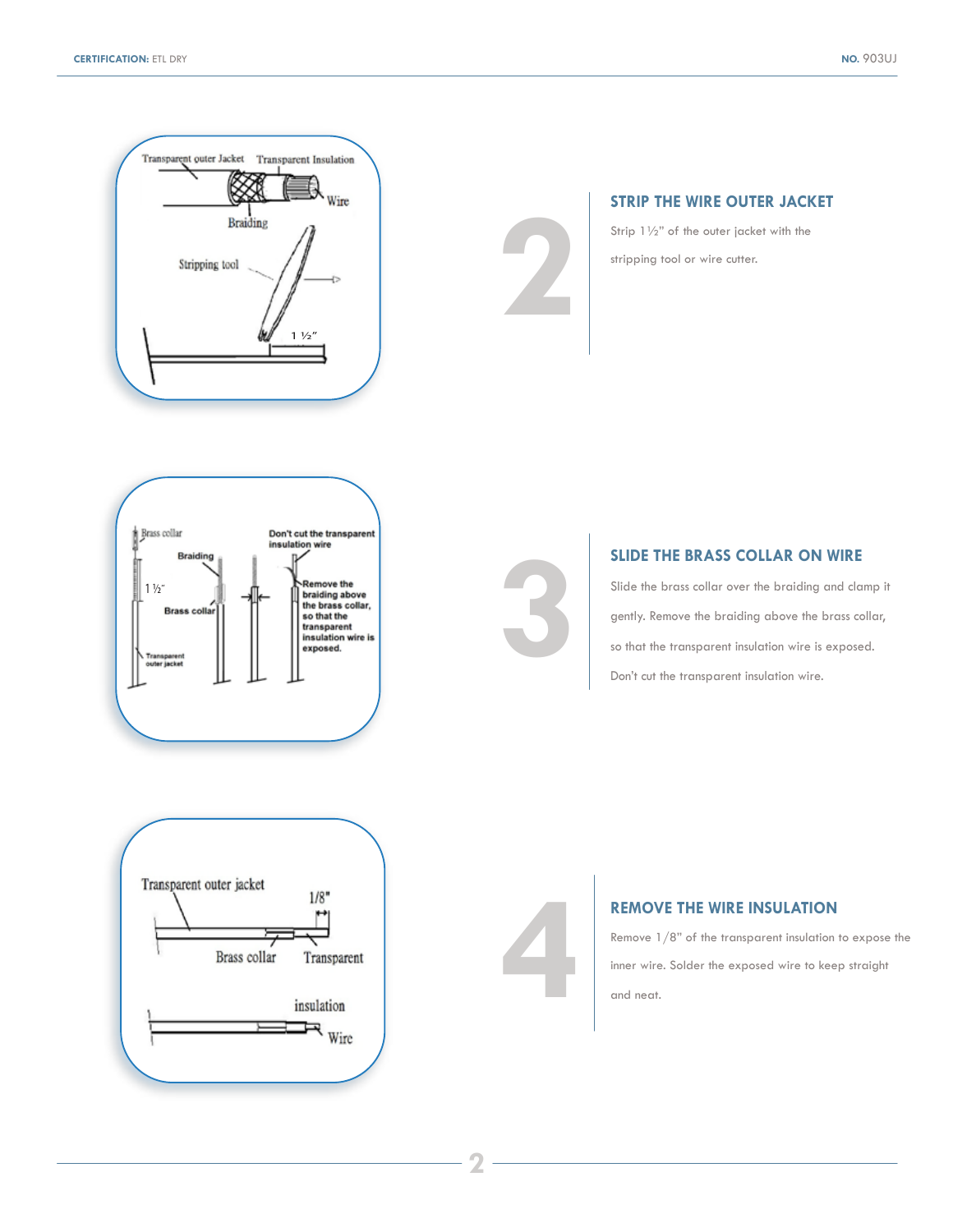

## **STRIP THE WIRE OUTER JACKET**

Strip 1½" of the outer jacket with the stripping tool or wire cutter.

**2**

**3**



## **SLIDE THE BRASS COLLAR ON WIRE**

Slide the brass collar over the braiding and clamp it gently. Remove the braiding above the brass collar, so that the transparent insulation wire is exposed. Don't cut the transparent insulation wire.



## **REMOVE THE WIRE INSULATION**

Remove 1/8" of the transparent insulation to expose the inner wire. Solder the exposed wire to keep straight and neat.

**4**